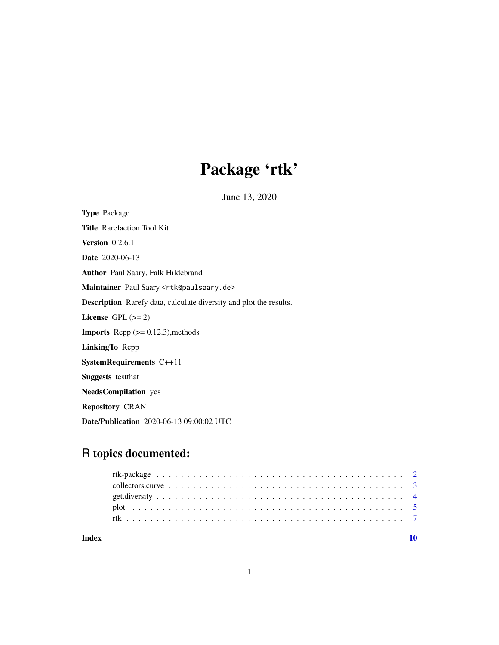## Package 'rtk'

June 13, 2020

<span id="page-0-0"></span>Type Package Title Rarefaction Tool Kit **Version** 0.2.6.1 Date 2020-06-13 Author Paul Saary, Falk Hildebrand Maintainer Paul Saary <rtk@paulsaary.de> Description Rarefy data, calculate diversity and plot the results. License GPL  $(>= 2)$ **Imports** Rcpp  $(>= 0.12.3)$ , methods LinkingTo Rcpp SystemRequirements C++11 Suggests testthat NeedsCompilation yes Repository CRAN Date/Publication 2020-06-13 09:00:02 UTC

### R topics documented:

| Index |  |  |  |  |  |  |  |  |  |  |  |  |  |  |  |  |  |  |
|-------|--|--|--|--|--|--|--|--|--|--|--|--|--|--|--|--|--|--|
|       |  |  |  |  |  |  |  |  |  |  |  |  |  |  |  |  |  |  |
|       |  |  |  |  |  |  |  |  |  |  |  |  |  |  |  |  |  |  |
|       |  |  |  |  |  |  |  |  |  |  |  |  |  |  |  |  |  |  |
|       |  |  |  |  |  |  |  |  |  |  |  |  |  |  |  |  |  |  |
|       |  |  |  |  |  |  |  |  |  |  |  |  |  |  |  |  |  |  |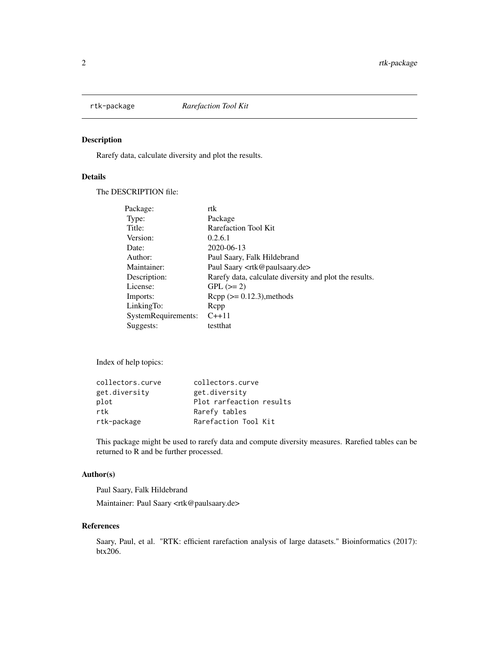<span id="page-1-0"></span>

#### Description

Rarefy data, calculate diversity and plot the results.

#### Details

The DESCRIPTION file:

| Package:            | rtk                                                    |
|---------------------|--------------------------------------------------------|
| Type:               | Package                                                |
| Title:              | <b>Rarefaction Tool Kit</b>                            |
| Version:            | 0.2.6.1                                                |
| Date:               | 2020-06-13                                             |
| Author:             | Paul Saary, Falk Hildebrand                            |
| Maintainer:         | Paul Saary <rtk@paulsaary.de></rtk@paulsaary.de>       |
| Description:        | Rarefy data, calculate diversity and plot the results. |
| License:            | $GPL (=2)$                                             |
| Imports:            | $\text{Rcpp}$ ( $\geq 0.12.3$ ), methods               |
| LinkingTo:          | Repp                                                   |
| SystemRequirements: | $C_{++}11$                                             |
| Suggests:           | testthat                                               |

Index of help topics:

| collectors.curve | collectors.curve         |
|------------------|--------------------------|
| get.diversitv    | get.diversity            |
| plot             | Plot rarfeaction results |
| rtk              | Rarefy tables            |
| rtk-package      | Rarefaction Tool Kit     |

This package might be used to rarefy data and compute diversity measures. Rarefied tables can be returned to R and be further processed.

#### Author(s)

Paul Saary, Falk Hildebrand

Maintainer: Paul Saary <rtk@paulsaary.de>

#### References

Saary, Paul, et al. "RTK: efficient rarefaction analysis of large datasets." Bioinformatics (2017): btx206.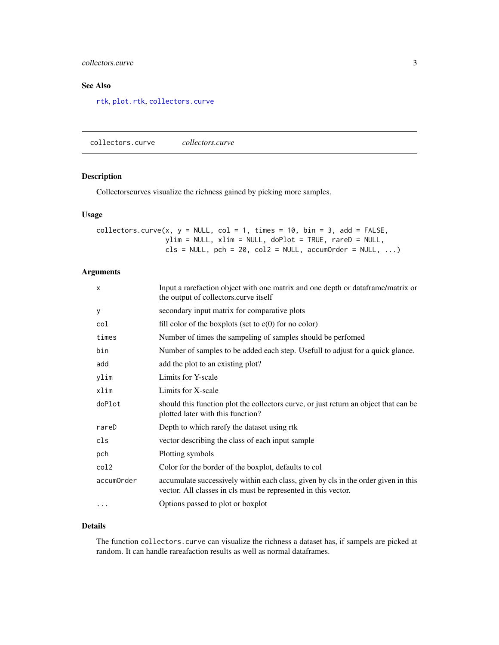#### <span id="page-2-0"></span>collectors.curve 3

#### See Also

[rtk](#page-6-1), [plot.rtk](#page-4-1), [collectors.curve](#page-2-1)

<span id="page-2-1"></span>collectors.curve *collectors.curve*

#### Description

Collectorscurves visualize the richness gained by picking more samples.

#### Usage

collectors.curve(x,  $y = NULL$ , col = 1, times = 10, bin = 3, add = FALSE, ylim = NULL, xlim = NULL, doPlot = TRUE, rareD = NULL,  $cls = NULL$ ,  $pch = 20$ ,  $col2 = NULL$ ,  $accumOrder = NULL$ , ...)

#### Arguments

| $\mathsf{x}$     | Input a rarefaction object with one matrix and one depth or dataframe/matrix or<br>the output of collectors.curve itself                             |
|------------------|------------------------------------------------------------------------------------------------------------------------------------------------------|
| У                | secondary input matrix for comparative plots                                                                                                         |
| col              | fill color of the boxplots (set to $c(0)$ for no color)                                                                                              |
| times            | Number of times the sampling of samples should be performed                                                                                          |
| bin              | Number of samples to be added each step. Usefull to adjust for a quick glance.                                                                       |
| add              | add the plot to an existing plot?                                                                                                                    |
| ylim             | Limits for Y-scale                                                                                                                                   |
| xlim             | Limits for X-scale                                                                                                                                   |
| doPlot           | should this function plot the collectors curve, or just return an object that can be<br>plotted later with this function?                            |
| rareD            | Depth to which rarefy the dataset using rtk                                                                                                          |
| cls              | vector describing the class of each input sample                                                                                                     |
| pch              | Plotting symbols                                                                                                                                     |
| col <sub>2</sub> | Color for the border of the boxplot, defaults to col                                                                                                 |
| accumOrder       | accumulate successively within each class, given by cls in the order given in this<br>vector. All classes in cls must be represented in this vector. |
| $\cdots$         | Options passed to plot or boxplot                                                                                                                    |
|                  |                                                                                                                                                      |

#### Details

The function collectors.curve can visualize the richness a dataset has, if sampels are picked at random. It can handle rareafaction results as well as normal dataframes.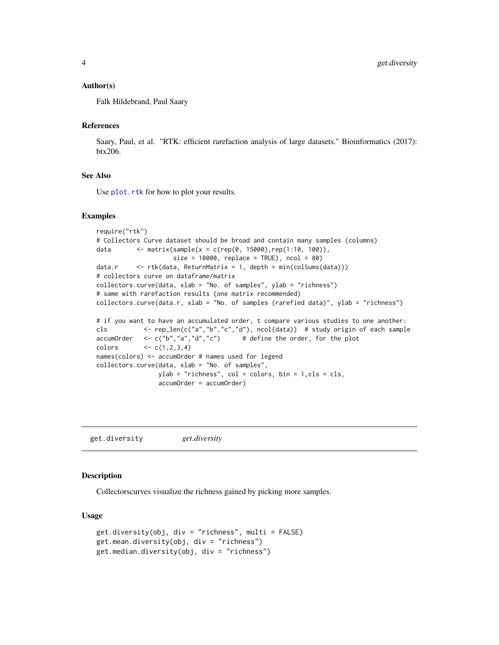#### <span id="page-3-0"></span>Author(s)

Falk Hildebrand, Paul Saary

#### References

Saary, Paul, et al. "RTK: efficient rarefaction analysis of large datasets." Bioinformatics (2017): btx206.

#### See Also

Use [plot.rtk](#page-4-1) for how to plot your results.

#### Examples

```
require("rtk")
# Collectors Curve dataset should be broad and contain many samples (columns)
data <- matrix(sample(x = c(rep(0, 15000),rep(1:10, 100)),
                    size = 10000, replace = TRUE), ncol = 80data.r \leq rtk(data, ReturnMatrix = 1, depth = min(colSums(data)))
# collectors curve on dataframe/matrix
collectors.curve(data, xlab = "No. of samples", ylab = "richness")
# same with rarefaction results (one matrix recommended)
collectors.curve(data.r, xlab = "No. of samples (rarefied data)", ylab = "richness")
# if you want to have an accumulated order, t compare various studies to one another:
cls <- rep_len(c("a","b","c","d"), ncol(data)) # study origin of each sample
\text{accumOrder} \leq c("b", "a", "d", "c") # define the order, for the plot
colors \leftarrow c(1,2,3,4)names(colors) <- accumOrder # names used for legend
collectors.curve(data, xlab = "No. of samples",
                 ylab = "richness", col = colors, bin = 1,cls = cls,
                 accumOrder = accumOrder)
```
get.diversity *get.diversity*

#### **Description**

Collectorscurves visualize the richness gained by picking more samples.

#### Usage

```
get.diversity(obj, div = "richness", multi = FALSE)
get.mean.diversity(obj, div = "richness")
get.median.diversity(obj, div = "richness")
```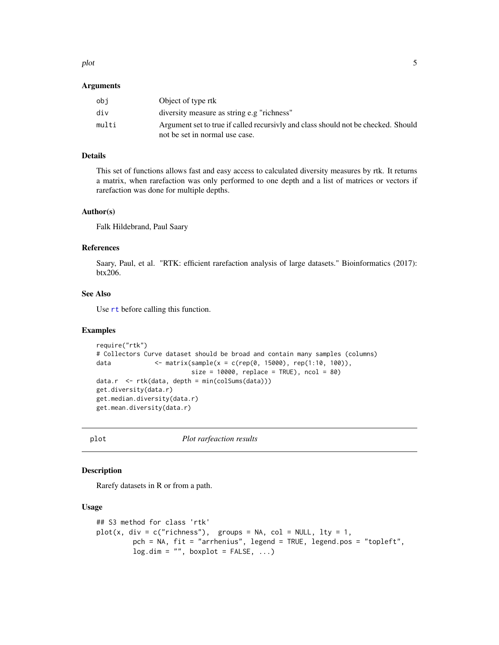#### <span id="page-4-0"></span>plot 5

#### Arguments

| obi   | Object of type rtk                                                                                                  |
|-------|---------------------------------------------------------------------------------------------------------------------|
| div   | diversity measure as string e.g "richness"                                                                          |
| multi | Argument set to true if called recursivly and class should not be checked. Should<br>not be set in normal use case. |

#### Details

This set of functions allows fast and easy access to calculated diversity measures by rtk. It returns a matrix, when rarefaction was only performed to one depth and a list of matrices or vectors if rarefaction was done for multiple depths.

#### Author(s)

Falk Hildebrand, Paul Saary

#### References

Saary, Paul, et al. "RTK: efficient rarefaction analysis of large datasets." Bioinformatics (2017): btx206.

#### See Also

Use [rt](#page-0-0) before calling this function.

#### Examples

```
require("rtk")
# Collectors Curve dataset should be broad and contain many samples (columns)
data <- matrix(sample(x = c(rep(0, 15000), rep(1:10, 100)),
                         size = 10000, replace = TRUE), ncol = 80data.r <- rtk(data, depth = min(colSums(data)))
get.diversity(data.r)
get.median.diversity(data.r)
get.mean.diversity(data.r)
```
plot *Plot rarfeaction results*

#### <span id="page-4-1"></span>Description

Rarefy datasets in R or from a path.

#### Usage

```
## S3 method for class 'rtk'
plot(x, div = c("richness"), groups = NA, col = NULL, lty = 1,pch = NA, fit = "arrhenius", legend = TRUE, legend.pos = "topleft",
        log.dim = "", boxplot = FALSE, ...)
```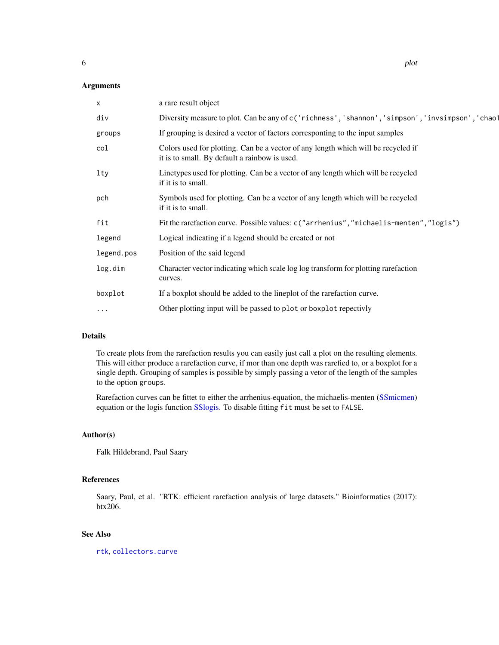<span id="page-5-0"></span>

| x          | a rare result object                                                                                                               |
|------------|------------------------------------------------------------------------------------------------------------------------------------|
| div        | Diversity measure to plot. Can be any of c('richness', 'shannon', 'simpson', 'invsimpson', 'chao1                                  |
| groups     | If grouping is desired a vector of factors corresponting to the input samples                                                      |
| col        | Colors used for plotting. Can be a vector of any length which will be recycled if<br>it is to small. By default a rainbow is used. |
| $1$ ty     | Linetypes used for plotting. Can be a vector of any length which will be recycled<br>if it is to small.                            |
| pch        | Symbols used for plotting. Can be a vector of any length which will be recycled<br>if it is to small.                              |
| fit        | Fit the rarefaction curve. Possible values: c("arrhenius", "michaelis-menten", "logis")                                            |
| legend     | Logical indicating if a legend should be created or not                                                                            |
| legend.pos | Position of the said legend                                                                                                        |
| log.dim    | Character vector indicating which scale log log transform for plotting rarefaction<br>curves.                                      |
| boxplot    | If a boxplot should be added to the lineplot of the rarefaction curve.                                                             |
| $\cdots$   | Other plotting input will be passed to plot or boxplot repectivly                                                                  |
|            |                                                                                                                                    |

#### Details

To create plots from the rarefaction results you can easily just call a plot on the resulting elements. This will either produce a rarefaction curve, if mor than one depth was rarefied to, or a boxplot for a single depth. Grouping of samples is possible by simply passing a vetor of the length of the samples to the option groups.

Rarefaction curves can be fittet to either the arrhenius-equation, the michaelis-menten [\(SSmicmen\)](#page-0-0) equation or the logis function [SSlogis.](#page-0-0) To disable fitting fit must be set to FALSE.

#### Author(s)

Falk Hildebrand, Paul Saary

#### References

Saary, Paul, et al. "RTK: efficient rarefaction analysis of large datasets." Bioinformatics (2017): btx206.

#### See Also

[rtk](#page-6-1), [collectors.curve](#page-2-1)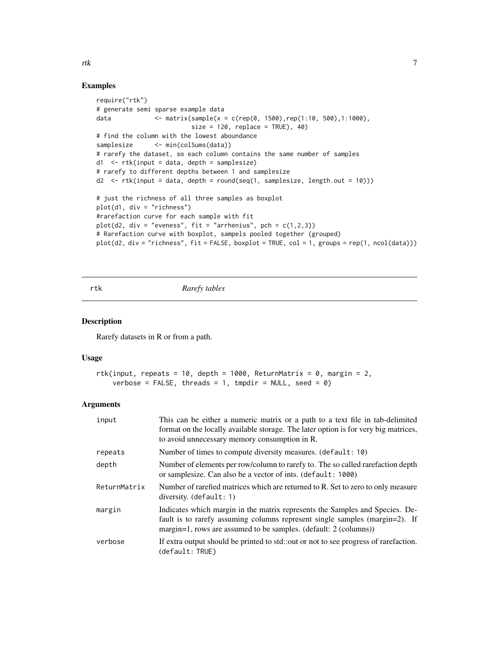#### Examples

```
require("rtk")
# generate semi sparse example data
data \leq matrix(sample(x = c(rep(0, 1500),rep(1:10, 500),1:1000),
                         size = 120, replace = TRUE), 40)
# find the column with the lowest aboundance
samplesize <- min(colSums(data))
# rarefy the dataset, so each column contains the same number of samples
d1 \leq -rtk(input = data, depth = samplesize)# rarefy to different depths between 1 and samplesize
d2 <- rtk(input = data, depth = round(seq(1, samplesize, length.out = 10)))
# just the richness of all three samples as boxplot
plot(d1, div = "richness")
#rarefaction curve for each sample with fit
plot(d2, div = "eveness", fit = "arrhenius", pch = c(1,2,3))
# Rarefaction curve with boxplot, sampels pooled together (grouped)
plot(d2, div = "richness", fit = FALSE, boxplot = TRUE, col = 1, groups = rep(1, ncol(data)))
```
<span id="page-6-1"></span>rtk *Rarefy tables*

#### Description

Rarefy datasets in R or from a path.

#### Usage

```
rtk(input, repeats = 10, depth = 1000, ReturnMatrix = 0, margin = 2,
   verbose = FALSE, threads = 1, tmpdir = NULL, seed = 0)
```
#### Arguments

| input        | This can be either a numeric matrix or a path to a text file in tab-delimited<br>format on the locally available storage. The later option is for very big matrices,<br>to avoid unnecessary memory consumption in R.           |
|--------------|---------------------------------------------------------------------------------------------------------------------------------------------------------------------------------------------------------------------------------|
| repeats      | Number of times to compute diversity measures. (default: 10)                                                                                                                                                                    |
| depth        | Number of elements per row/column to rarefy to. The so called rarefaction depth<br>or samplesize. Can also be a vector of ints. (default: 1000)                                                                                 |
| ReturnMatrix | Number of rarefied matrices which are returned to R. Set to zero to only measure<br>$diversity.$ (default: 1)                                                                                                                   |
| margin       | Indicates which margin in the matrix represents the Samples and Species. De-<br>fault is to rarefy assuming columns represent single samples (margin=2). If<br>margin=1, rows are assumed to be samples. (default: 2 (columns)) |
| verbose      | If extra output should be printed to std::out or not to see progress of rarefaction.<br>(default: TRUE)                                                                                                                         |

<span id="page-6-0"></span>rtk te beste beste beste beste beste beste beste beste beste beste beste beste beste beste beste beste beste b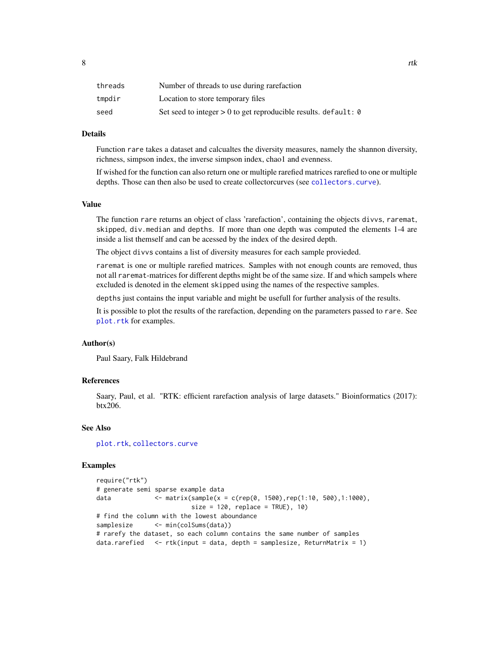<span id="page-7-0"></span>

| threads | Number of threads to use during rarefaction                       |
|---------|-------------------------------------------------------------------|
| tmpdir  | Location to store temporary files                                 |
| seed    | Set seed to integer $> 0$ to get reproducible results. default: 0 |

#### Details

Function rare takes a dataset and calcualtes the diversity measures, namely the shannon diversity, richness, simpson index, the inverse simpson index, chao1 and evenness.

If wished for the function can also return one or multiple rarefied matrices rarefied to one or multiple depths. Those can then also be used to create collectorcurves (see [collectors.curve](#page-2-1)).

#### Value

The function rare returns an object of class 'rarefaction', containing the objects divvs, raremat, skipped, div.median and depths. If more than one depth was computed the elements 1-4 are inside a list themself and can be acessed by the index of the desired depth.

The object divvs contains a list of diversity measures for each sample provieded.

raremat is one or multiple rarefied matrices. Samples with not enough counts are removed, thus not all raremat-matrices for different depths might be of the same size. If and which sampels where excluded is denoted in the element skipped using the names of the respective samples.

depths just contains the input variable and might be usefull for further analysis of the results.

It is possible to plot the results of the rarefaction, depending on the parameters passed to rare. See [plot.rtk](#page-4-1) for examples.

#### Author(s)

Paul Saary, Falk Hildebrand

#### References

Saary, Paul, et al. "RTK: efficient rarefaction analysis of large datasets." Bioinformatics (2017): btx206.

#### See Also

[plot.rtk](#page-4-1), [collectors.curve](#page-2-1)

#### Examples

```
require("rtk")
# generate semi sparse example data
data \leq matrix(sample(x = c(rep(0, 1500),rep(1:10, 500),1:1000),
                         size = 120, replace = TRUE), 10)
# find the column with the lowest aboundance
samplesize <- min(colSums(data))
# rarefy the dataset, so each column contains the same number of samples
data.rarefied \leq rtk(input = data, depth = samplesize, ReturnMatrix = 1)
```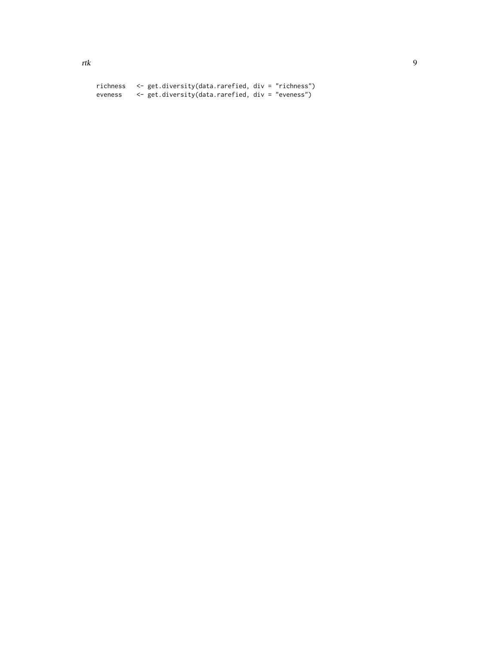richness <- get.diversity(data.rarefied, div = "richness") eveness <- get.diversity(data.rarefied, div = "eveness")